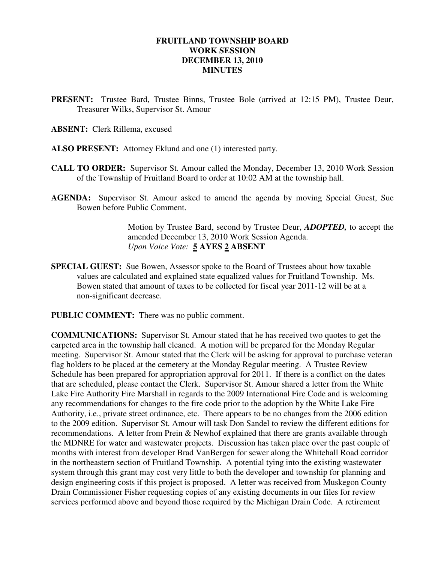#### **FRUITLAND TOWNSHIP BOARD WORK SESSION DECEMBER 13, 2010 MINUTES**

- **PRESENT:** Trustee Bard, Trustee Binns, Trustee Bole (arrived at 12:15 PM), Trustee Deur, Treasurer Wilks, Supervisor St. Amour
- **ABSENT:** Clerk Rillema, excused
- **ALSO PRESENT:** Attorney Eklund and one (1) interested party.
- **CALL TO ORDER:** Supervisor St. Amour called the Monday, December 13, 2010 Work Session of the Township of Fruitland Board to order at 10:02 AM at the township hall.
- **AGENDA:** Supervisor St. Amour asked to amend the agenda by moving Special Guest, Sue Bowen before Public Comment.

Motion by Trustee Bard, second by Trustee Deur, *ADOPTED,* to accept the amended December 13, 2010 Work Session Agenda.  *Upon Voice Vote:* **5 AYES 2 ABSENT** 

**SPECIAL GUEST:** Sue Bowen, Assessor spoke to the Board of Trustees about how taxable values are calculated and explained state equalized values for Fruitland Township. Ms. Bowen stated that amount of taxes to be collected for fiscal year 2011-12 will be at a non-significant decrease.

**PUBLIC COMMENT:** There was no public comment.

**COMMUNICATIONS:** Supervisor St. Amour stated that he has received two quotes to get the carpeted area in the township hall cleaned. A motion will be prepared for the Monday Regular meeting. Supervisor St. Amour stated that the Clerk will be asking for approval to purchase veteran flag holders to be placed at the cemetery at the Monday Regular meeting. A Trustee Review Schedule has been prepared for appropriation approval for 2011. If there is a conflict on the dates that are scheduled, please contact the Clerk. Supervisor St. Amour shared a letter from the White Lake Fire Authority Fire Marshall in regards to the 2009 International Fire Code and is welcoming any recommendations for changes to the fire code prior to the adoption by the White Lake Fire Authority, i.e., private street ordinance, etc. There appears to be no changes from the 2006 edition to the 2009 edition. Supervisor St. Amour will task Don Sandel to review the different editions for recommendations. A letter from Prein & Newhof explained that there are grants available through the MDNRE for water and wastewater projects. Discussion has taken place over the past couple of months with interest from developer Brad VanBergen for sewer along the Whitehall Road corridor in the northeastern section of Fruitland Township. A potential tying into the existing wastewater system through this grant may cost very little to both the developer and township for planning and design engineering costs if this project is proposed. A letter was received from Muskegon County Drain Commissioner Fisher requesting copies of any existing documents in our files for review services performed above and beyond those required by the Michigan Drain Code. A retirement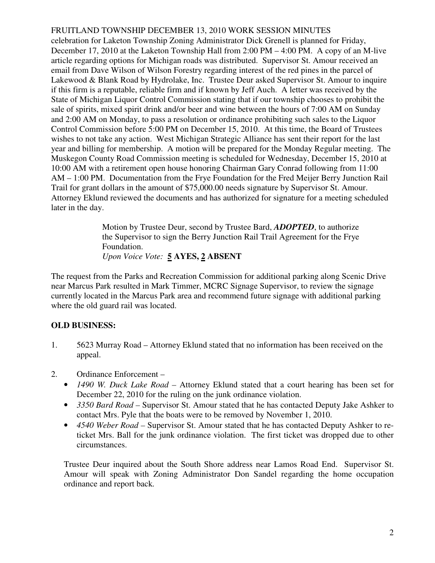## FRUITLAND TOWNSHIP DECEMBER 13, 2010 WORK SESSION MINUTES

celebration for Laketon Township Zoning Administrator Dick Grenell is planned for Friday, December 17, 2010 at the Laketon Township Hall from 2:00 PM – 4:00 PM. A copy of an M-live article regarding options for Michigan roads was distributed. Supervisor St. Amour received an email from Dave Wilson of Wilson Forestry regarding interest of the red pines in the parcel of Lakewood & Blank Road by Hydrolake, Inc. Trustee Deur asked Supervisor St. Amour to inquire if this firm is a reputable, reliable firm and if known by Jeff Auch. A letter was received by the State of Michigan Liquor Control Commission stating that if our township chooses to prohibit the sale of spirits, mixed spirit drink and/or beer and wine between the hours of 7:00 AM on Sunday and 2:00 AM on Monday, to pass a resolution or ordinance prohibiting such sales to the Liquor Control Commission before 5:00 PM on December 15, 2010. At this time, the Board of Trustees wishes to not take any action. West Michigan Strategic Alliance has sent their report for the last year and billing for membership. A motion will be prepared for the Monday Regular meeting. The Muskegon County Road Commission meeting is scheduled for Wednesday, December 15, 2010 at 10:00 AM with a retirement open house honoring Chairman Gary Conrad following from 11:00 AM – 1:00 PM. Documentation from the Frye Foundation for the Fred Meijer Berry Junction Rail Trail for grant dollars in the amount of \$75,000.00 needs signature by Supervisor St. Amour. Attorney Eklund reviewed the documents and has authorized for signature for a meeting scheduled later in the day.

> Motion by Trustee Deur, second by Trustee Bard, *ADOPTED*, to authorize the Supervisor to sign the Berry Junction Rail Trail Agreement for the Frye Foundation. *Upon Voice Vote:* **5 AYES, 2 ABSENT**

The request from the Parks and Recreation Commission for additional parking along Scenic Drive near Marcus Park resulted in Mark Timmer, MCRC Signage Supervisor, to review the signage currently located in the Marcus Park area and recommend future signage with additional parking where the old guard rail was located.

# **OLD BUSINESS:**

- 1. 5623 Murray Road Attorney Eklund stated that no information has been received on the appeal.
- 2. Ordinance Enforcement
	- *1490 W. Duck Lake Road –* Attorney Eklund stated that a court hearing has been set for December 22, 2010 for the ruling on the junk ordinance violation.
	- *3350 Bard Road Supervisor St. Amour stated that he has contacted Deputy Jake Ashker to* contact Mrs. Pyle that the boats were to be removed by November 1, 2010.
	- 4540 Weber Road Supervisor St. Amour stated that he has contacted Deputy Ashker to reticket Mrs. Ball for the junk ordinance violation. The first ticket was dropped due to other circumstances.

Trustee Deur inquired about the South Shore address near Lamos Road End. Supervisor St. Amour will speak with Zoning Administrator Don Sandel regarding the home occupation ordinance and report back*.*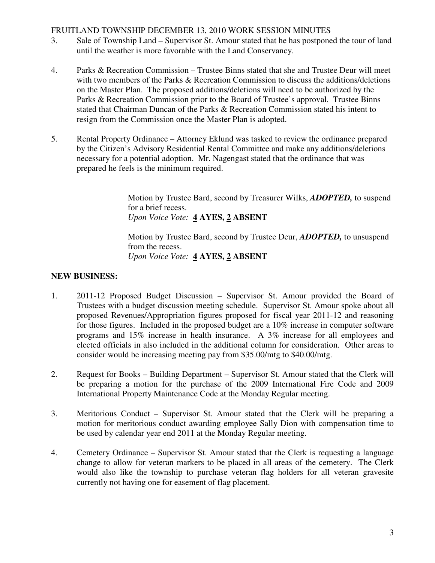#### FRUITLAND TOWNSHIP DECEMBER 13, 2010 WORK SESSION MINUTES

- 3. Sale of Township Land Supervisor St. Amour stated that he has postponed the tour of land until the weather is more favorable with the Land Conservancy.
- 4. Parks & Recreation Commission Trustee Binns stated that she and Trustee Deur will meet with two members of the Parks & Recreation Commission to discuss the additions/deletions on the Master Plan. The proposed additions/deletions will need to be authorized by the Parks & Recreation Commission prior to the Board of Trustee's approval. Trustee Binns stated that Chairman Duncan of the Parks & Recreation Commission stated his intent to resign from the Commission once the Master Plan is adopted.
- 5. Rental Property Ordinance Attorney Eklund was tasked to review the ordinance prepared by the Citizen's Advisory Residential Rental Committee and make any additions/deletions necessary for a potential adoption. Mr. Nagengast stated that the ordinance that was prepared he feels is the minimum required.

 Motion by Trustee Bard, second by Treasurer Wilks, *ADOPTED,* to suspend for a brief recess. *Upon Voice Vote:* **4 AYES, 2 ABSENT** 

 Motion by Trustee Bard, second by Trustee Deur, *ADOPTED,* to unsuspend from the recess. *Upon Voice Vote:* **4 AYES, 2 ABSENT** 

### **NEW BUSINESS:**

- 1. 2011-12 Proposed Budget Discussion Supervisor St. Amour provided the Board of Trustees with a budget discussion meeting schedule. Supervisor St. Amour spoke about all proposed Revenues/Appropriation figures proposed for fiscal year 2011-12 and reasoning for those figures. Included in the proposed budget are a 10% increase in computer software programs and 15% increase in health insurance. A 3% increase for all employees and elected officials in also included in the additional column for consideration. Other areas to consider would be increasing meeting pay from \$35.00/mtg to \$40.00/mtg.
- 2. Request for Books Building Department Supervisor St. Amour stated that the Clerk will be preparing a motion for the purchase of the 2009 International Fire Code and 2009 International Property Maintenance Code at the Monday Regular meeting.
- 3. Meritorious Conduct Supervisor St. Amour stated that the Clerk will be preparing a motion for meritorious conduct awarding employee Sally Dion with compensation time to be used by calendar year end 2011 at the Monday Regular meeting.
- 4. Cemetery Ordinance Supervisor St. Amour stated that the Clerk is requesting a language change to allow for veteran markers to be placed in all areas of the cemetery. The Clerk would also like the township to purchase veteran flag holders for all veteran gravesite currently not having one for easement of flag placement.